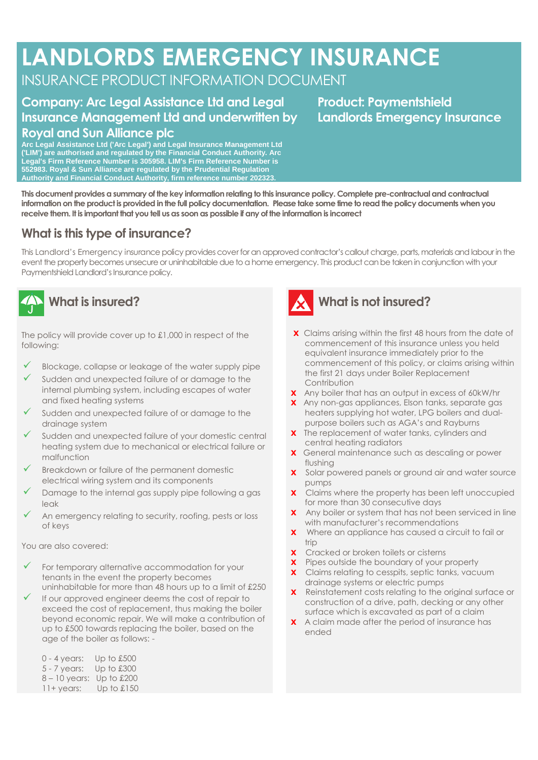# **LANDLORDS EMERGENCY INSURANCE**

# INSURANCE PRODUCT INFORMATION DOCUMENT

**receive them. It is important that you tell us as soon as possible if any of the information is incorrect**

#### **Company: Arc Legal Assistance Ltd and Legal Insurance Management Ltd and underwritten by Royal and Sun Alliance plc**

**Arc Legal Assistance Ltd ('Arc Legal') and Legal Insurance Management Ltd ('LIM') are authorised and regulated by the Financial Conduct Authority. Arc Legal's Firm Reference Number is 305958. LIM's Firm Reference Number is 552983. Royal & Sun Alliance are regulated by the Prudential Regulation Authority and Financial Conduct Authority, firm reference number 202323.**

**This document provides a summary of the key information relating to this insurance policy. Complete pre-contractual and contractual information on the product is provided in the full policy documentation. Please take some time to read the policy documents when you** 

## **What is this type of insurance?**

This Landlord's Emergency insurance policy provides cover for an approved contractor's callout charge, parts, materials and labour in the event the property becomes unsecure or uninhabitable due to a home emergency. This product can be taken in conjunction with your Paymentshield Landlord's Insurance policy.



The policy will provide cover up to £1,000 in respect of the following:

- $\checkmark$  Blockage, collapse or leakage of the water supply pipe
- Sudden and unexpected failure of or damage to the internal plumbing system, including escapes of water and fixed heating systems
- Sudden and unexpected failure of or damage to the drainage system
- Sudden and unexpected failure of your domestic central heating system due to mechanical or electrical failure or malfunction
- Breakdown or failure of the permanent domestic electrical wiring system and its components
- Damage to the internal gas supply pipe following a gas leak
- An emergency relating to security, roofing, pests or loss of keys

You are also covered:

- For temporary alternative accommodation for your tenants in the event the property becomes uninhabitable for more than 48 hours up to a limit of £250
- If our approved engineer deems the cost of repair to exceed the cost of replacement, thus making the boiler beyond economic repair. We will make a contribution of up to £500 towards replacing the boiler, based on the age of the boiler as follows: -

0 - 4 years: Up to £500 5 - 7 years: Up to £300 8 – 10 years: Up to £200 11+ years: Up to £150



#### **What is not insured?**

- **X** Claims arising within the first 48 hours from the date of commencement of this insurance unless you held equivalent insurance immediately prior to the commencement of this policy, or claims arising within the first 21 days under Boiler Replacement **Contribution**
- **X** Any boiler that has an output in excess of 60kW/hr
- **X** Any non-gas appliances, Elson tanks, separate gas heaters supplying hot water, LPG boilers and dualpurpose boilers such as AGA's and Rayburns
- **X** The replacement of water tanks, cylinders and central heating radiators
- **X** General maintenance such as descaling or power flushing
- **X** Solar powered panels or ground air and water source pumps
- **X** Claims where the property has been left unoccupied for more than 30 consecutive days
- **X** Any boiler or system that has not been serviced in line with manufacturer's recommendations
- **X** Where an appliance has caused a circuit to fail or trip
- **X** Cracked or broken toilets or cisterns
- **X** Pipes outside the boundary of your property
- **X** Claims relating to cesspits, septic tanks, vacuum drainage systems or electric pumps
- **X** Reinstatement costs relating to the original surface or construction of a drive, path, decking or any other surface which is excavated as part of a claim
- **X** A claim made after the period of insurance has ended

**Product: Paymentshield Landlords Emergency Insurance**